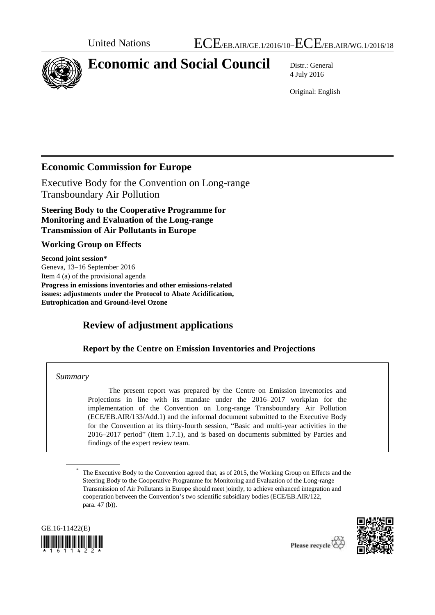

# **Economic and Social Council** Distr.: General

4 July 2016

Original: English

## **Economic Commission for Europe**

Executive Body for the Convention on Long-range Transboundary Air Pollution

**Steering Body to the Cooperative Programme for Monitoring and Evaluation of the Long-range Transmission of Air Pollutants in Europe**

### **Working Group on Effects**

**Second joint session\*** Geneva, 13–16 September 2016 Item 4 (a) of the provisional agenda **Progress in emissions inventories and other emissions-related issues: adjustments under the Protocol to Abate Acidification, Eutrophication and Ground-level Ozone**

# **Review of adjustment applications**

### **Report by the Centre on Emission Inventories and Projections**

### *Summary*

The present report was prepared by the Centre on Emission Inventories and Projections in line with its mandate under the 2016–2017 workplan for the implementation of the Convention on Long-range Transboundary Air Pollution (ECE/EB.AIR/133/Add.1) and the informal document submitted to the Executive Body for the Convention at its thirty-fourth session, "Basic and multi-year activities in the 2016–2017 period" (item 1.7.1), and is based on documents submitted by Parties and findings of the expert review team.

<sup>\*</sup> The Executive Body to the Convention agreed that, as of 2015, the Working Group on Effects and the Steering Body to the Cooperative Programme for Monitoring and Evaluation of the Long-range Transmission of Air Pollutants in Europe should meet jointly, to achieve enhanced integration and cooperation between the Convention's two scientific subsidiary bodies (ECE/EB.AIR/122, para. 47 (b)).



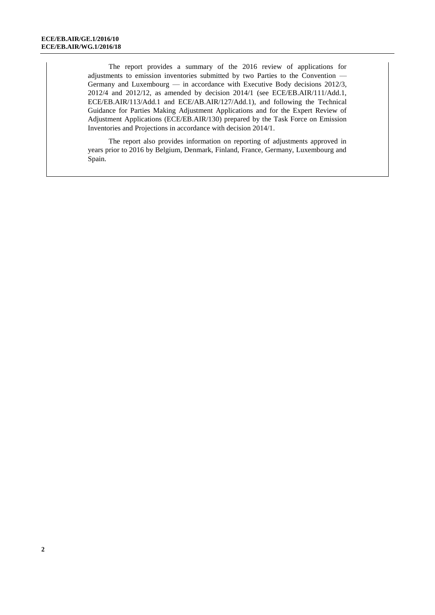The report provides a summary of the 2016 review of applications for adjustments to emission inventories submitted by two Parties to the Convention — Germany and Luxembourg — in accordance with Executive Body decisions 2012/3, 2012/4 and 2012/12, as amended by decision 2014/1 (see ECE/EB.AIR/111/Add.1, ECE/EB.AIR/113/Add.1 and ECE/AB.AIR/127/Add.1), and following the Technical Guidance for Parties Making Adjustment Applications and for the Expert Review of Adjustment Applications (ECE/EB.AIR/130) prepared by the Task Force on Emission Inventories and Projections in accordance with decision 2014/1.

The report also provides information on reporting of adjustments approved in years prior to 2016 by Belgium, Denmark, Finland, France, Germany, Luxembourg and Spain.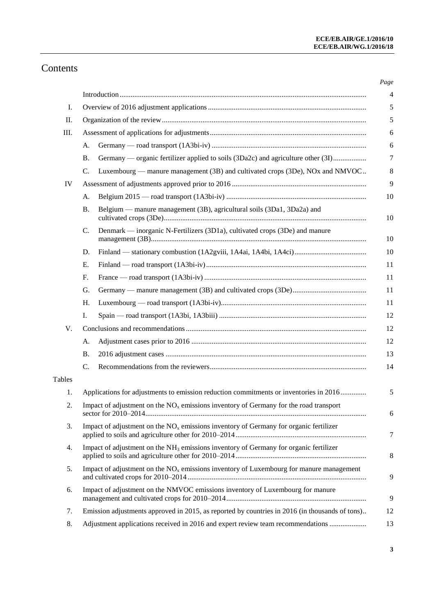# Contents

| I.        |                                                                                                |
|-----------|------------------------------------------------------------------------------------------------|
| II.       |                                                                                                |
| Ш.        |                                                                                                |
| А.        |                                                                                                |
| <b>B.</b> | Germany — organic fertilizer applied to soils (3Da2c) and agriculture other (3I)               |
| C.        | Luxembourg — manure management (3B) and cultivated crops (3De), NOx and NMVOC                  |
| IV        |                                                                                                |
| А.        |                                                                                                |
| <b>B.</b> | Belgium — manure management (3B), agricultural soils (3Da1, 3Da2a) and                         |
| C.        | Denmark — inorganic N-Fertilizers (3D1a), cultivated crops (3De) and manure                    |
| D.        |                                                                                                |
| E.        |                                                                                                |
| F.        |                                                                                                |
| G.        |                                                                                                |
| Η.        |                                                                                                |
| I.        |                                                                                                |
| V.        |                                                                                                |
| A.        |                                                                                                |
| Β.        |                                                                                                |
| C.        |                                                                                                |
| Tables    |                                                                                                |
| 1.        | Applications for adjustments to emission reduction commitments or inventories in 2016          |
| 2.        | Impact of adjustment on the $NOx$ emissions inventory of Germany for the road transport        |
| 3.        | Impact of adjustment on the $NOx$ emissions inventory of Germany for organic fertilizer        |
| 4.        | Impact of adjustment on the $NH3$ emissions inventory of Germany for organic fertilizer        |
| 5.        | Impact of adjustment on the $NOx$ emissions inventory of Luxembourg for manure management      |
| 6.        | Impact of adjustment on the NMVOC emissions inventory of Luxembourg for manure                 |
| 7.        | Emission adjustments approved in 2015, as reported by countries in 2016 (in thousands of tons) |
| 8.        | Adjustment applications received in 2016 and expert review team recommendations                |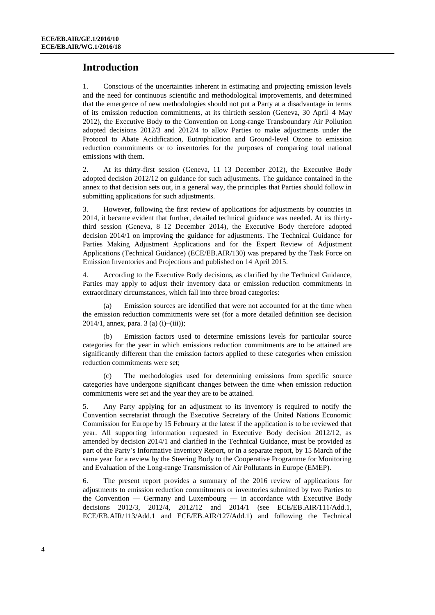## **Introduction**

1. Conscious of the uncertainties inherent in estimating and projecting emission levels and the need for continuous scientific and methodological improvements, and determined that the emergence of new methodologies should not put a Party at a disadvantage in terms of its emission reduction commitments, at its thirtieth session (Geneva, 30 April–4 May 2012), the Executive Body to the Convention on Long-range Transboundary Air Pollution adopted decisions 2012/3 and 2012/4 to allow Parties to make adjustments under the Protocol to Abate Acidification, Eutrophication and Ground-level Ozone to emission reduction commitments or to inventories for the purposes of comparing total national emissions with them.

2. At its thirty-first session (Geneva, 11–13 December 2012), the Executive Body adopted decision 2012/12 on guidance for such adjustments. The guidance contained in the annex to that decision sets out, in a general way, the principles that Parties should follow in submitting applications for such adjustments.

3. However, following the first review of applications for adjustments by countries in 2014, it became evident that further, detailed technical guidance was needed. At its thirtythird session (Geneva, 8–12 December 2014), the Executive Body therefore adopted decision 2014/1 on improving the guidance for adjustments. The Technical Guidance for Parties Making Adjustment Applications and for the Expert Review of Adjustment Applications (Technical Guidance) (ECE/EB.AIR/130) was prepared by the Task Force on Emission Inventories and Projections and published on 14 April 2015.

4. According to the Executive Body decisions, as clarified by the Technical Guidance, Parties may apply to adjust their inventory data or emission reduction commitments in extraordinary circumstances, which fall into three broad categories:

Emission sources are identified that were not accounted for at the time when the emission reduction commitments were set (for a more detailed definition see decision 2014/1, annex, para. 3 (a) (i)–(iii));

(b) Emission factors used to determine emissions levels for particular source categories for the year in which emissions reduction commitments are to be attained are significantly different than the emission factors applied to these categories when emission reduction commitments were set;

(c) The methodologies used for determining emissions from specific source categories have undergone significant changes between the time when emission reduction commitments were set and the year they are to be attained.

5. Any Party applying for an adjustment to its inventory is required to notify the Convention secretariat through the Executive Secretary of the United Nations Economic Commission for Europe by 15 February at the latest if the application is to be reviewed that year. All supporting information requested in Executive Body decision 2012/12, as amended by decision 2014/1 and clarified in the Technical Guidance, must be provided as part of the Party's Informative Inventory Report, or in a separate report, by 15 March of the same year for a review by the Steering Body to the Cooperative Programme for Monitoring and Evaluation of the Long-range Transmission of Air Pollutants in Europe (EMEP).

6. The present report provides a summary of the 2016 review of applications for adjustments to emission reduction commitments or inventories submitted by two Parties to the Convention — Germany and Luxembourg — in accordance with Executive Body decisions 2012/3, 2012/4, 2012/12 and 2014/1 (see ECE/EB.AIR/111/Add.1, ECE/EB.AIR/113/Add.1 and ECE/EB.AIR/127/Add.1) and following the Technical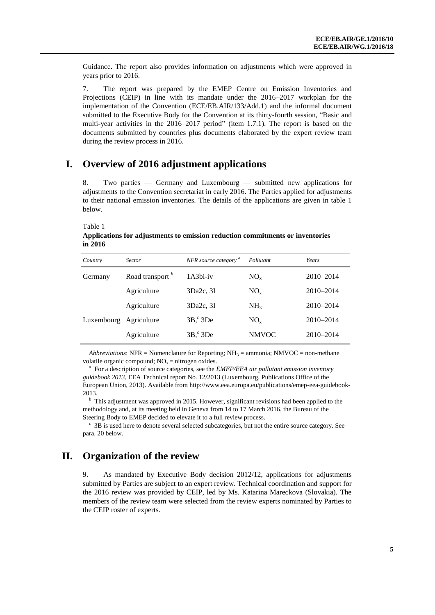Guidance. The report also provides information on adjustments which were approved in years prior to 2016.

7. The report was prepared by the EMEP Centre on Emission Inventories and Projections (CEIP) in line with its mandate under the 2016–2017 workplan for the implementation of the Convention (ECE/EB.AIR/133/Add.1) and the informal document submitted to the Executive Body for the Convention at its thirty-fourth session, "Basic and multi-year activities in the 2016–2017 period" (item 1.7.1). The report is based on the documents submitted by countries plus documents elaborated by the expert review team during the review process in 2016.

### **I. Overview of 2016 adjustment applications**

8. Two parties — Germany and Luxembourg — submitted new applications for adjustments to the Convention secretariat in early 2016. The Parties applied for adjustments to their national emission inventories. The details of the applications are given in table 1 below.

Table 1

**Applications for adjustments to emission reduction commitments or inventories in 2016**

| Country                | <b>Sector</b>               | NFR source category <sup>a</sup> | Pollutant       | Years         |
|------------------------|-----------------------------|----------------------------------|-----------------|---------------|
| Germany                | Road transport <sup>b</sup> | $1A3bi-iv$                       | $NO_{x}$        | $2010 - 2014$ |
|                        | Agriculture                 | 3Da2c, 3I                        | $NO_{x}$        | $2010 - 2014$ |
|                        | Agriculture                 | 3Da2c, 3I                        | NH <sub>3</sub> | $2010 - 2014$ |
| Luxembourg Agriculture |                             | $3Bc$ 3De                        | $NO_{x}$        | $2010 - 2014$ |
|                        | Agriculture                 | $3Bc$ 3De                        | <b>NMVOC</b>    | $2010 - 2014$ |

*Abbreviations*: NFR = Nomenclature for Reporting; NH<sub>3</sub> = ammonia; NMVOC = non-methane volatile organic compound;  $NO<sub>x</sub>$  = nitrogen oxides.

*a* For a description of source categories, see the *EMEP/EEA air pollutant emission inventory guidebook 2013*, EEA Technical report No. 12/2013 (Luxembourg, Publications Office of the European Union, 2013). Available fro[m http://www.eea.europa.eu/publications/emep-eea-guidebook-](http://www.eea.europa.eu/publications/emep-eea-guidebook-2013)[2013.](http://www.eea.europa.eu/publications/emep-eea-guidebook-2013)

<sup>*b*</sup> This adjustment was approved in 2015. However, significant revisions had been applied to the methodology and, at its meeting held in Geneva from 14 to 17 March 2016, the Bureau of the Steering Body to EMEP decided to elevate it to a full review process.

<sup>c</sup> 3B is used here to denote several selected subcategories, but not the entire source category. See para. 20 below.

### **II. Organization of the review**

9. As mandated by Executive Body decision 2012/12, applications for adjustments submitted by Parties are subject to an expert review. Technical coordination and support for the 2016 review was provided by CEIP, led by Ms. Katarina Mareckova (Slovakia). The members of the review team were selected from the review experts nominated by Parties to the CEIP roster of experts.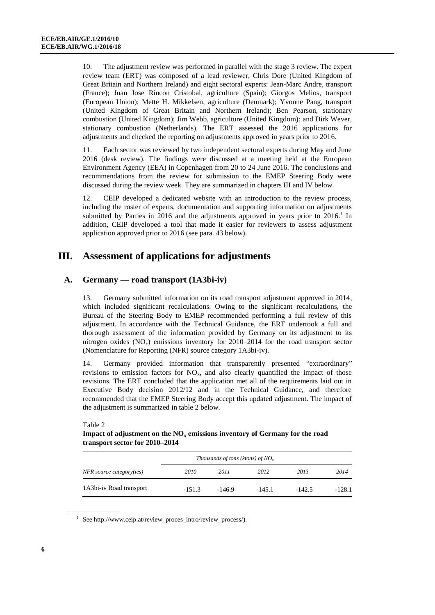10. The adjustment review was performed in parallel with the stage 3 review. The expert review team (ERT) was composed of a lead reviewer, Chris Dore (United Kingdom of Great Britain and Northern Ireland) and eight sectoral experts: Jean-Marc Andre, transport (France); Juan Jose Rincon Cristobal, agriculture (Spain); Giorgos Melios, transport (European Union); Mette H. Mikkelsen, agriculture (Denmark); Yvonne Pang, transport (United Kingdom of Great Britain and Northern Ireland); Ben Pearson, stationary combustion (United Kingdom); Jim Webb, agriculture (United Kingdom); and Dirk Wever, stationary combustion (Netherlands). The ERT assessed the 2016 applications for adjustments and checked the reporting on adjustments approved in years prior to 2016.

11. Each sector was reviewed by two independent sectoral experts during May and June 2016 (desk review). The findings were discussed at a meeting held at the European Environment Agency (EEA) in Copenhagen from 20 to 24 June 2016. The conclusions and recommendations from the review for submission to the EMEP Steering Body were discussed during the review week. They are summarized in chapters III and IV below.

12. CEIP developed a dedicated website with an introduction to the review process, including the roster of experts, documentation and supporting information on adjustments submitted by Parties in 2016 and the adjustments approved in years prior to  $2016<sup>1</sup>$  In addition, CEIP developed a tool that made it easier for reviewers to assess adjustment application approved prior to 2016 (see para. 43 below).

### **III. Assessment of applications for adjustments**

### **A. Germany — road transport (1A3bi-iv)**

13. Germany submitted information on its road transport adjustment approved in 2014, which included significant recalculations. Owing to the significant recalculations, the Bureau of the Steering Body to EMEP recommended performing a full review of this adjustment. In accordance with the Technical Guidance, the ERT undertook a full and thorough assessment of the information provided by Germany on its adjustment to its nitrogen oxides  $(NO_x)$  emissions inventory for 2010–2014 for the road transport sector (Nomenclature for Reporting (NFR) source category 1A3bi-iv).

14. Germany provided information that transparently presented "extraordinary" revisions to emission factors for  $NO<sub>x</sub>$ , and also clearly quantified the impact of those revisions. The ERT concluded that the application met all of the requirements laid out in Executive Body decision 2012/12 and in the Technical Guidance, and therefore recommended that the EMEP Steering Body accept this updated adjustment. The impact of the adjustment is summarized in table 2 below.

|                          | Thousands of tons (ktons) of $NOx$ |          |          |          |          |  |
|--------------------------|------------------------------------|----------|----------|----------|----------|--|
| NFR source category(ies) | 2010                               | 2011     | 2012     | 2013     | 2014     |  |
| 1A3bi-iv Road transport  | $-151.3$                           | $-146.9$ | $-145.1$ | $-142.5$ | $-128.1$ |  |

#### Table 2

**Impact of adjustment on the NO<sup>x</sup> emissions inventory of Germany for the road transport sector for 2010–2014**

1 Se[e http://www.ceip.at/review\\_proces\\_intro/review\\_process/\)](http://www.ceip.at/review_proces_intro/review_process/).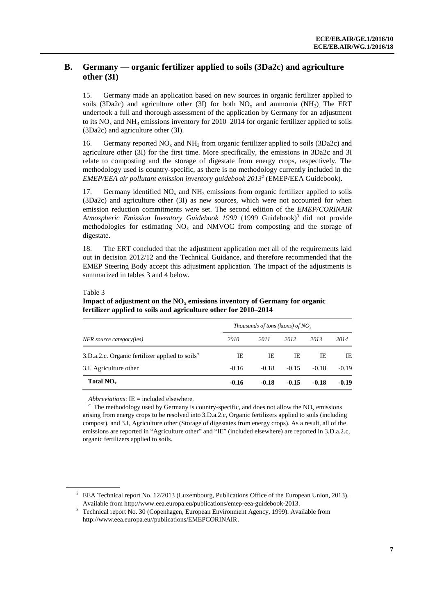### **B. Germany — organic fertilizer applied to soils (3Da2c) and agriculture other (3I)**

15. Germany made an application based on new sources in organic fertilizer applied to soils (3Da2c) and agriculture other (3I) for both  $NO<sub>x</sub>$  and ammonia (NH<sub>3</sub>). The ERT undertook a full and thorough assessment of the application by Germany for an adjustment to its  $NO<sub>x</sub>$  and  $NH<sub>3</sub>$  emissions inventory for 2010–2014 for organic fertilizer applied to soils (3Da2c) and agriculture other (3I).

16. Germany reported  $NO<sub>x</sub>$  and  $NH<sub>3</sub>$  from organic fertilizer applied to soils (3Da2c) and agriculture other (3I) for the first time. More specifically, the emissions in 3Da2c and 3I relate to composting and the storage of digestate from energy crops, respectively. The methodology used is country-specific, as there is no methodology currently included in the *EMEP/EEA air pollutant emission inventory guidebook 2013*<sup>2</sup> (EMEP/EEA Guidebook).

17. Germany identified  $NO<sub>x</sub>$  and  $NH<sub>3</sub>$  emissions from organic fertilizer applied to soils (3Da2c) and agriculture other (3I) as new sources, which were not accounted for when emission reduction commitments were set. The second edition of the *EMEP/CORINAIR*  Atmospheric Emission Inventory Guidebook 1999 (1999 Guidebook)<sup>3</sup> did not provide methodologies for estimating  $NO<sub>x</sub>$  and NMVOC from composting and the storage of digestate.

18. The ERT concluded that the adjustment application met all of the requirements laid out in decision 2012/12 and the Technical Guidance, and therefore recommended that the EMEP Steering Body accept this adjustment application. The impact of the adjustments is summarized in tables 3 and 4 below.

#### Table 3

**Impact of adjustment on the NO<sup>x</sup> emissions inventory of Germany for organic fertilizer applied to soils and agriculture other for 2010–2014**

|                                                                          | Thousands of tons (ktons) of $NOx$ |         |         |         |         |  |
|--------------------------------------------------------------------------|------------------------------------|---------|---------|---------|---------|--|
| NFR source category(ies)                                                 | 2010                               | 2011    | 2012    | 2013    | 2014    |  |
| 3.D.a.2.c. Organic fertilizer applied to soils <sup><math>a</math></sup> | IE                                 | IE      | IE      | IE      | IE      |  |
| 3.I. Agriculture other                                                   | $-0.16$                            | $-0.18$ | $-0.15$ | $-0.18$ | $-0.19$ |  |
| Total $NO_{x}$                                                           | $-0.16$                            | $-0.18$ | $-0.15$ | $-0.18$ | $-0.19$ |  |

*Abbreviations*: IE = included elsewhere*.*

 $a<sup>a</sup>$  The methodology used by Germany is country-specific, and does not allow the NO<sub>x</sub> emissions arising from energy crops to be resolved into 3.D.a.2.c, Organic fertilizers applied to soils (including compost), and 3.I, Agriculture other (Storage of digestates from energy crops). As a result, all of the emissions are reported in "Agriculture other" and "IE" (included elsewhere) are reported in 3.D.a.2.c, organic fertilizers applied to soils.

<sup>&</sup>lt;sup>2</sup> EEA Technical report No. 12/2013 (Luxembourg, Publications Office of the European Union, 2013). Available fro[m http://www.eea.europa.eu/publications/emep-eea-guidebook-2013.](http://www.eea.europa.eu/publications/emep-eea-guidebook-2013)

<sup>&</sup>lt;sup>3</sup> Technical report No. 30 (Copenhagen, European Environment Agency, 1999). Available from [http://www.eea.europa.eu//publications/EMEPCORINAIR.](http://www.eea.europa.eu/publications/EMEPCORINAIR)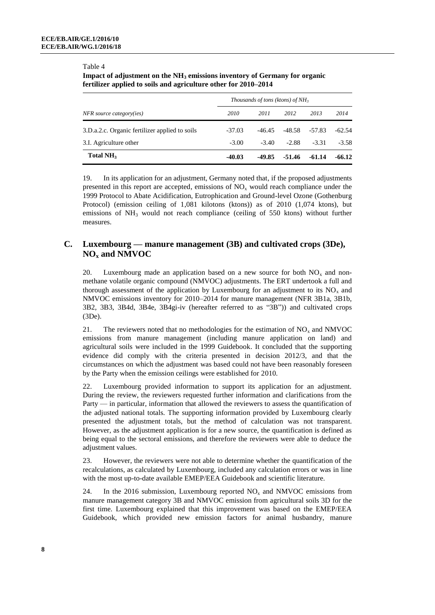#### Table 4

**Impact of adjustment on the NH<sup>3</sup> emissions inventory of Germany for organic fertilizer applied to soils and agriculture other for 2010–2014**

|                                                | Thousands of tons (ktons) of $NH3$ |          |         |          |          |
|------------------------------------------------|------------------------------------|----------|---------|----------|----------|
| NFR source category(ies)                       | 2010                               | 2011     | 2012    | 2013     | 2014     |
| 3.D.a.2.c. Organic fertilizer applied to soils | $-37.03$                           | $-46.45$ | -48.58  | -57.83   | $-62.54$ |
| 3.I. Agriculture other                         | $-3.00$                            | $-3.40$  | $-2.88$ | $-3.31$  | $-3.58$  |
| Total NH <sub>3</sub>                          | $-40.03$                           | -49.85   | -51.46  | $-61.14$ | $-66.12$ |

19. In its application for an adjustment, Germany noted that, if the proposed adjustments presented in this report are accepted, emissions of  $NO<sub>x</sub>$  would reach compliance under the 1999 Protocol to Abate Acidification, Eutrophication and Ground-level Ozone (Gothenburg Protocol) (emission ceiling of 1,081 kilotons (ktons)) as of 2010 (1,074 ktons), but emissions of  $NH_3$  would not reach compliance (ceiling of 550 ktons) without further measures.

### **C. Luxembourg — manure management (3B) and cultivated crops (3De), NO<sup>x</sup> and NMVOC**

20. Luxembourg made an application based on a new source for both  $NO<sub>x</sub>$  and nonmethane volatile organic compound (NMVOC) adjustments. The ERT undertook a full and thorough assessment of the application by Luxembourg for an adjustment to its  $NO<sub>x</sub>$  and NMVOC emissions inventory for 2010–2014 for manure management (NFR 3B1a, 3B1b, 3B2, 3B3, 3B4d, 3B4e, 3B4gi-iv (hereafter referred to as "3B")) and cultivated crops (3De).

21. The reviewers noted that no methodologies for the estimation of  $NO<sub>x</sub>$  and NMVOC emissions from manure management (including manure application on land) and agricultural soils were included in the 1999 Guidebook. It concluded that the supporting evidence did comply with the criteria presented in decision 2012/3, and that the circumstances on which the adjustment was based could not have been reasonably foreseen by the Party when the emission ceilings were established for 2010.

22. Luxembourg provided information to support its application for an adjustment. During the review, the reviewers requested further information and clarifications from the Party — in particular, information that allowed the reviewers to assess the quantification of the adjusted national totals. The supporting information provided by Luxembourg clearly presented the adjustment totals, but the method of calculation was not transparent. However, as the adjustment application is for a new source, the quantification is defined as being equal to the sectoral emissions, and therefore the reviewers were able to deduce the adjustment values.

23. However, the reviewers were not able to determine whether the quantification of the recalculations, as calculated by Luxembourg, included any calculation errors or was in line with the most up-to-date available EMEP/EEA Guidebook and scientific literature.

24. In the 2016 submission, Luxembourg reported  $NO<sub>x</sub>$  and NMVOC emissions from manure management category 3B and NMVOC emission from agricultural soils 3D for the first time. Luxembourg explained that this improvement was based on the EMEP/EEA Guidebook, which provided new emission factors for animal husbandry, manure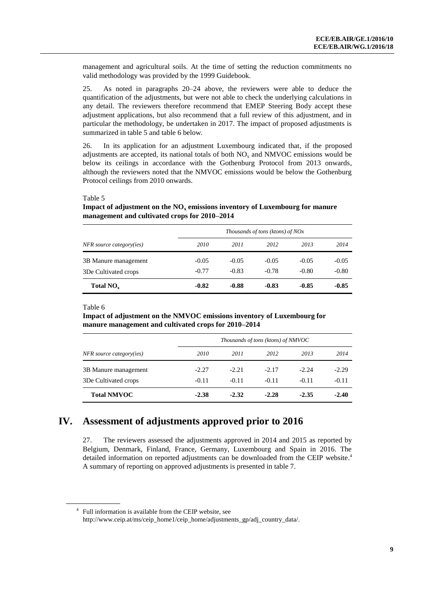management and agricultural soils. At the time of setting the reduction commitments no valid methodology was provided by the 1999 Guidebook.

25. As noted in paragraphs 20–24 above, the reviewers were able to deduce the quantification of the adjustments, but were not able to check the underlying calculations in any detail. The reviewers therefore recommend that EMEP Steering Body accept these adjustment applications, but also recommend that a full review of this adjustment, and in particular the methodology, be undertaken in 2017. The impact of proposed adjustments is summarized in table 5 and table 6 below.

26. In its application for an adjustment Luxembourg indicated that, if the proposed adjustments are accepted, its national totals of both  $NO<sub>x</sub>$  and NMVOC emissions would be below its ceilings in accordance with the Gothenburg Protocol from 2013 onwards, although the reviewers noted that the NMVOC emissions would be below the Gothenburg Protocol ceilings from 2010 onwards.

#### Table 5

**Impact of adjustment on the NO<sup>x</sup> emissions inventory of Luxembourg for manure management and cultivated crops for 2010–2014**

|                          | Thousands of tons (ktons) of $NOx$ |         |         |         |         |
|--------------------------|------------------------------------|---------|---------|---------|---------|
| NFR source category(ies) | 2010                               | 2011    | 2012    | 2013    | 2014    |
| 3B Manure management     | $-0.05$                            | $-0.05$ | $-0.05$ | $-0.05$ | $-0.05$ |
| 3De Cultivated crops     | $-0.77$                            | $-0.83$ | $-0.78$ | $-0.80$ | $-0.80$ |
| Total $NO_{x}$           | $-0.82$                            | $-0.88$ | $-0.83$ | $-0.85$ | $-0.85$ |

Table 6

**Impact of adjustment on the NMVOC emissions inventory of Luxembourg for manure management and cultivated crops for 2010–2014**

|                          |         |         | Thousands of tons (ktons) of NMVOC |         |         |
|--------------------------|---------|---------|------------------------------------|---------|---------|
| NFR source category(ies) | 2010    | 2011    | 2012                               | 2013    | 2014    |
| 3B Manure management     | $-2.27$ | $-2.21$ | $-2.17$                            | $-2.24$ | $-2.29$ |
| 3De Cultivated crops     | $-0.11$ | $-0.11$ | $-0.11$                            | $-0.11$ | $-0.11$ |
| <b>Total NMVOC</b>       | $-2.38$ | $-2.32$ | $-2.28$                            | $-2.35$ | $-2.40$ |

### **IV. Assessment of adjustments approved prior to 2016**

27. The reviewers assessed the adjustments approved in 2014 and 2015 as reported by Belgium, Denmark, Finland, France, Germany, Luxembourg and Spain in 2016. The detailed information on reported adjustments can be downloaded from the CEIP website. 4 A summary of reporting on approved adjustments is presented in table 7.

<sup>4</sup> Full information is available from the CEIP website, see http://www.ceip.at/ms/ceip\_home1/ceip\_home/adjustments\_gp/adj\_country\_data/.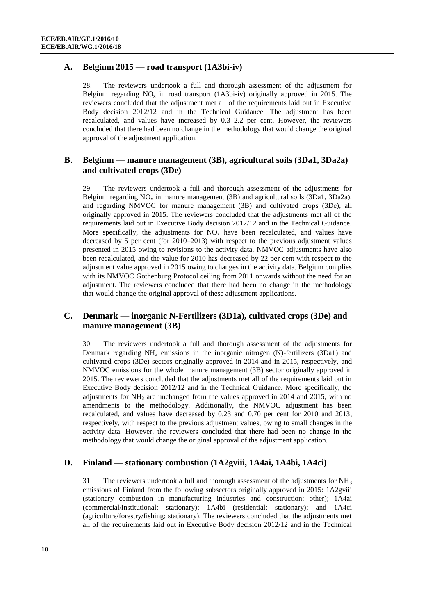### **A. Belgium 2015 — road transport (1A3bi-iv)**

28. The reviewers undertook a full and thorough assessment of the adjustment for Belgium regarding  $NO<sub>x</sub>$  in road transport (1A3bi-iv) originally approved in 2015. The reviewers concluded that the adjustment met all of the requirements laid out in Executive Body decision 2012/12 and in the Technical Guidance. The adjustment has been recalculated, and values have increased by 0.3–2.2 per cent. However, the reviewers concluded that there had been no change in the methodology that would change the original approval of the adjustment application.

### **B. Belgium — manure management (3B), agricultural soils (3Da1, 3Da2a) and cultivated crops (3De)**

29. The reviewers undertook a full and thorough assessment of the adjustments for Belgium regarding  $NO_x$  in manure management (3B) and agricultural soils (3Da1, 3Da2a), and regarding NMVOC for manure management (3B) and cultivated crops (3De), all originally approved in 2015. The reviewers concluded that the adjustments met all of the requirements laid out in Executive Body decision 2012/12 and in the Technical Guidance. More specifically, the adjustments for  $NO<sub>x</sub>$  have been recalculated, and values have decreased by 5 per cent (for 2010–2013) with respect to the previous adjustment values presented in 2015 owing to revisions to the activity data. NMVOC adjustments have also been recalculated, and the value for 2010 has decreased by 22 per cent with respect to the adjustment value approved in 2015 owing to changes in the activity data. Belgium complies with its NMVOC Gothenburg Protocol ceiling from 2011 onwards without the need for an adjustment. The reviewers concluded that there had been no change in the methodology that would change the original approval of these adjustment applications.

### **C. Denmark — inorganic N-Fertilizers (3D1a), cultivated crops (3De) and manure management (3B)**

30. The reviewers undertook a full and thorough assessment of the adjustments for Denmark regarding  $NH_3$  emissions in the inorganic nitrogen  $(N)$ -fertilizers (3Da1) and cultivated crops (3De) sectors originally approved in 2014 and in 2015, respectively, and NMVOC emissions for the whole manure management (3B) sector originally approved in 2015. The reviewers concluded that the adjustments met all of the requirements laid out in Executive Body decision 2012/12 and in the Technical Guidance. More specifically, the adjustments for NH<sub>3</sub> are unchanged from the values approved in 2014 and 2015, with no amendments to the methodology. Additionally, the NMVOC adjustment has been recalculated, and values have decreased by 0.23 and 0.70 per cent for 2010 and 2013, respectively, with respect to the previous adjustment values, owing to small changes in the activity data. However, the reviewers concluded that there had been no change in the methodology that would change the original approval of the adjustment application.

#### **D. Finland — stationary combustion (1A2gviii, 1A4ai, 1A4bi, 1A4ci)**

31. The reviewers undertook a full and thorough assessment of the adjustments for  $NH<sub>3</sub>$ emissions of Finland from the following subsectors originally approved in 2015: 1A2gviii (stationary combustion in manufacturing industries and construction: other); 1A4ai (commercial/institutional: stationary); 1A4bi (residential: stationary); and 1A4ci (agriculture/forestry/fishing: stationary). The reviewers concluded that the adjustments met all of the requirements laid out in Executive Body decision 2012/12 and in the Technical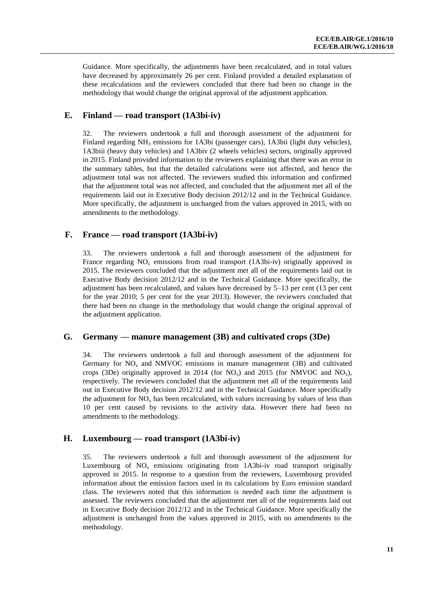Guidance. More specifically, the adjustments have been recalculated, and in total values have decreased by approximately 26 per cent. Finland provided a detailed explanation of these recalculations and the reviewers concluded that there had been no change in the methodology that would change the original approval of the adjustment application.

### **E. Finland — road transport (1A3bi-iv)**

32. The reviewers undertook a full and thorough assessment of the adjustment for Finland regarding NH<sub>3</sub> emissions for 1A3bi (passenger cars), 1A3bii (light duty vehicles), 1A3biii (heavy duty vehicles) and 1A3biv (2 wheels vehicles) sectors, originally approved in 2015. Finland provided information to the reviewers explaining that there was an error in the summary tables, but that the detailed calculations were not affected, and hence the adjustment total was not affected. The reviewers studied this information and confirmed that the adjustment total was not affected, and concluded that the adjustment met all of the requirements laid out in Executive Body decision 2012/12 and in the Technical Guidance. More specifically, the adjustment is unchanged from the values approved in 2015, with no amendments to the methodology.

### **F. France — road transport (1A3bi-iv)**

33. The reviewers undertook a full and thorough assessment of the adjustment for France regarding  $NO<sub>x</sub>$  emissions from road transport (1A3bi-iv) originally approved in 2015. The reviewers concluded that the adjustment met all of the requirements laid out in Executive Body decision 2012/12 and in the Technical Guidance. More specifically, the adjustment has been recalculated, and values have decreased by 5–13 per cent (13 per cent for the year 2010; 5 per cent for the year 2013). However, the reviewers concluded that there had been no change in the methodology that would change the original approval of the adjustment application.

### **G. Germany — manure management (3B) and cultivated crops (3De)**

34. The reviewers undertook a full and thorough assessment of the adjustment for Germany for  $NO<sub>x</sub>$  and NMVOC emissions in manure management (3B) and cultivated crops (3De) originally approved in 2014 (for  $NO_x$ ) and 2015 (for NMVOC and  $NO_x$ ), respectively. The reviewers concluded that the adjustment met all of the requirements laid out in Executive Body decision 2012/12 and in the Technical Guidance. More specifically the adjustment for  $NO<sub>x</sub>$  has been recalculated, with values increasing by values of less than 10 per cent caused by revisions to the activity data. However there had been no amendments to the methodology.

### **H. Luxembourg — road transport (1A3bi-iv)**

35. The reviewers undertook a full and thorough assessment of the adjustment for Luxembourg of  $NO<sub>x</sub>$  emissions originating from 1A3bi-iv road transport originally approved in 2015. In response to a question from the reviewers, Luxembourg provided information about the emission factors used in its calculations by Euro emission standard class. The reviewers noted that this information is needed each time the adjustment is assessed. The reviewers concluded that the adjustment met all of the requirements laid out in Executive Body decision 2012/12 and in the Technical Guidance. More specifically the adjustment is unchanged from the values approved in 2015, with no amendments to the methodology.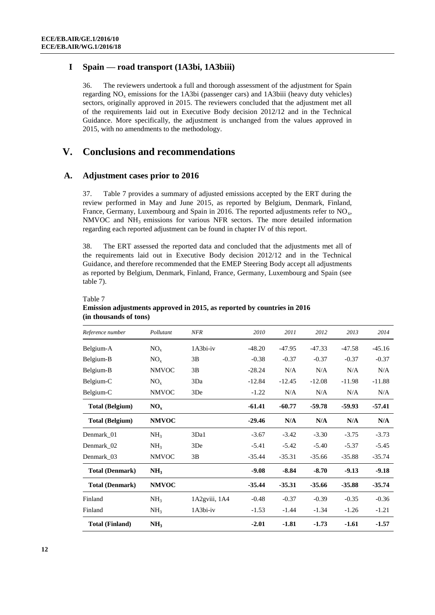### **I Spain — road transport (1A3bi, 1A3biii)**

36. The reviewers undertook a full and thorough assessment of the adjustment for Spain regarding NO<sub>y</sub> emissions for the 1A3bi (passenger cars) and 1A3biii (heavy duty vehicles) sectors, originally approved in 2015. The reviewers concluded that the adjustment met all of the requirements laid out in Executive Body decision 2012/12 and in the Technical Guidance. More specifically, the adjustment is unchanged from the values approved in 2015, with no amendments to the methodology.

### **V. Conclusions and recommendations**

#### **A. Adjustment cases prior to 2016**

37. Table 7 provides a summary of adjusted emissions accepted by the ERT during the review performed in May and June 2015, as reported by Belgium, Denmark, Finland, France, Germany, Luxembourg and Spain in 2016. The reported adjustments refer to  $NO<sub>x</sub>$ , NMVOC and NH3 emissions for various NFR sectors. The more detailed information regarding each reported adjustment can be found in chapter IV of this report.

38. The ERT assessed the reported data and concluded that the adjustments met all of the requirements laid out in Executive Body decision 2012/12 and in the Technical Guidance, and therefore recommended that the EMEP Steering Body accept all adjustments as reported by Belgium, Denmark, Finland, France, Germany, Luxembourg and Spain (see table 7).

| Reference number       | Pollutant       | <b>NFR</b>    | 2010     | 2011     | 2012     | 2013     | 2014     |
|------------------------|-----------------|---------------|----------|----------|----------|----------|----------|
| Belgium-A              | $NO_{x}$        | 1A3bi-iv      | $-48.20$ | $-47.95$ | $-47.33$ | $-47.58$ | $-45.16$ |
| Belgium-B              | $NO_{x}$        | 3B            | $-0.38$  | $-0.37$  | $-0.37$  | $-0.37$  | $-0.37$  |
| Belgium-B              | <b>NMVOC</b>    | 3В            | $-28.24$ | N/A      | N/A      | N/A      | N/A      |
| Belgium-C              | $NO_{x}$        | 3Da           | $-12.84$ | $-12.45$ | $-12.08$ | $-11.98$ | $-11.88$ |
| Belgium-C              | <b>NMVOC</b>    | 3De           | $-1.22$  | N/A      | N/A      | N/A      | N/A      |
| <b>Total (Belgium)</b> | $NO_{x}$        |               | $-61.41$ | $-60.77$ | $-59.78$ | -59.93   | $-57.41$ |
| <b>Total (Belgium)</b> | <b>NMVOC</b>    |               | $-29.46$ | N/A      | N/A      | N/A      | N/A      |
| Denmark 01             | NH <sub>3</sub> | 3Da1          | $-3.67$  | $-3.42$  | $-3.30$  | $-3.75$  | $-3.73$  |
| Denmark 02             | NH <sub>3</sub> | 3De           | $-5.41$  | $-5.42$  | $-5.40$  | $-5.37$  | $-5.45$  |
| Denmark_03             | <b>NMVOC</b>    | 3В            | $-35.44$ | $-35.31$ | $-35.66$ | $-35.88$ | $-35.74$ |
| <b>Total (Denmark)</b> | NH <sub>3</sub> |               | $-9.08$  | $-8.84$  | $-8.70$  | $-9.13$  | $-9.18$  |
| <b>Total (Denmark)</b> | <b>NMVOC</b>    |               | $-35.44$ | $-35.31$ | $-35.66$ | $-35.88$ | $-35.74$ |
| Finland                | NH <sub>3</sub> | 1A2gviii, 1A4 | $-0.48$  | $-0.37$  | $-0.39$  | $-0.35$  | $-0.36$  |
| Finland                | NH <sub>3</sub> | $1A3bi-iv$    | $-1.53$  | $-1.44$  | $-1.34$  | $-1.26$  | $-1.21$  |
| <b>Total (Finland)</b> | NH <sub>3</sub> |               | $-2.01$  | $-1.81$  | $-1.73$  | $-1.61$  | $-1.57$  |

#### Table 7 **Emission adjustments approved in 2015, as reported by countries in 2016 (in thousands of tons)**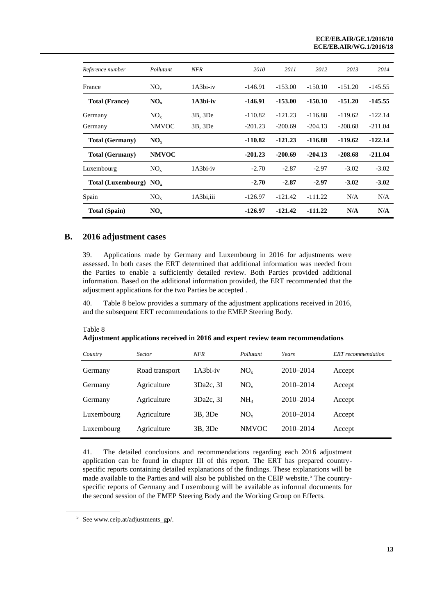| Reference number         | Pollutant       | NFR        | 2010      | 2011      | 2012      | 2013      | 2014      |
|--------------------------|-----------------|------------|-----------|-----------|-----------|-----------|-----------|
| France                   | $NO_{x}$        | $1A3bi-iv$ | $-146.91$ | $-153.00$ | $-150.10$ | $-151.20$ | $-145.55$ |
| <b>Total (France)</b>    | $NO_{v}$        | $1A3bi-iv$ | $-146.91$ | $-153.00$ | $-150.10$ | -151.20   | $-145.55$ |
| Germany                  | $NO_{x}$        | 3B, 3De    | $-110.82$ | $-121.23$ | $-116.88$ | $-119.62$ | $-122.14$ |
| Germany                  | <b>NMVOC</b>    | 3B, 3De    | $-201.23$ | $-200.69$ | $-204.13$ | $-208.68$ | $-211.04$ |
| <b>Total (Germany)</b>   | $NO_{x}$        |            | $-110.82$ | $-121.23$ | $-116.88$ | $-119.62$ | $-122.14$ |
| <b>Total (Germany)</b>   | <b>NMVOC</b>    |            | $-201.23$ | $-200.69$ | $-204.13$ | $-208.68$ | $-211.04$ |
| Luxembourg               | $NO_{x}$        | $1A3bi-iv$ | $-2.70$   | $-2.87$   | $-2.97$   | $-3.02$   | $-3.02$   |
| Total (Luxembourg) $NOx$ |                 |            | $-2.70$   | $-2.87$   | $-2.97$   | $-3.02$   | $-3.02$   |
| Spain                    | NO <sub>x</sub> | 1A3bi,iii  | $-126.97$ | $-121.42$ | $-111.22$ | N/A       | N/A       |
| <b>Total (Spain)</b>     | $NO_{x}$        |            | $-126.97$ | $-121.42$ | $-111.22$ | N/A       | N/A       |

### **B. 2016 adjustment cases**

39. Applications made by Germany and Luxembourg in 2016 for adjustments were assessed. In both cases the ERT determined that additional information was needed from the Parties to enable a sufficiently detailed review. Both Parties provided additional information. Based on the additional information provided, the ERT recommended that the adjustment applications for the two Parties be accepted .

40. Table 8 below provides a summary of the adjustment applications received in 2016, and the subsequent ERT recommendations to the EMEP Steering Body.

Table 8

**Adjustment applications received in 2016 and expert review team recommendations**

| Country    | <b>Sector</b>  | <b>NFR</b> | Pollutant       | Years         | <b>ERT</b> recommendation |
|------------|----------------|------------|-----------------|---------------|---------------------------|
| Germany    | Road transport | $1A3bi-iv$ | $NO_{x}$        | $2010 - 2014$ | Accept                    |
| Germany    | Agriculture    | 3Da2c. 3I  | $NO_{x}$        | $2010 - 2014$ | Accept                    |
| Germany    | Agriculture    | 3Da2c. 3I  | NH <sub>3</sub> | 2010-2014     | Accept                    |
| Luxembourg | Agriculture    | 3B, 3De    | $NO_{x}$        | $2010 - 2014$ | Accept                    |
| Luxembourg | Agriculture    | 3B, 3De    | <b>NMVOC</b>    | $2010 - 2014$ | Accept                    |

41. The detailed conclusions and recommendations regarding each 2016 adjustment application can be found in chapter III of this report. The ERT has prepared countryspecific reports containing detailed explanations of the findings. These explanations will be made available to the Parties and will also be published on the CEIP website.<sup>5</sup> The countryspecific reports of Germany and Luxembourg will be available as informal documents for the second session of the EMEP Steering Body and the Working Group on Effects.

<sup>5</sup> Se[e www.ceip.at/adjustments\\_gp/.](http://www.ceip.at/adjustments_gp/)